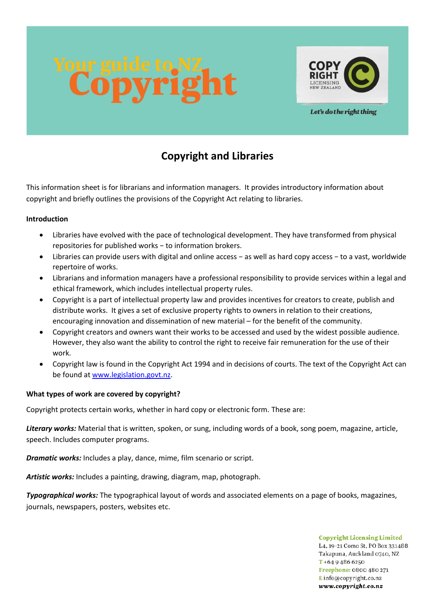



Let's do the right thing

# **Copyright and Libraries**

This information sheet is for librarians and information managers. It provides introductory information about copyright and briefly outlines the provisions of the Copyright Act relating to libraries.

## **Introduction**

- Libraries have evolved with the pace of technological development. They have transformed from physical repositories for published works − to information brokers.
- Libraries can provide users with digital and online access − as well as hard copy access − to a vast, worldwide repertoire of works.
- Librarians and information managers have a professional responsibility to provide services within a legal and ethical framework, which includes intellectual property rules.
- Copyright is a part of intellectual property law and provides incentives for creators to create, publish and distribute works. It gives a set of exclusive property rights to owners in relation to their creations, encouraging innovation and dissemination of new material – for the benefit of the community.
- Copyright creators and owners want their works to be accessed and used by the widest possible audience. However, they also want the ability to control the right to receive fair remuneration for the use of their work.
- Copyright law is found in the Copyright Act 1994 and in decisions of courts. The text of the Copyright Act can be found at [www.legislation.govt.nz.](http://www.legislation.govt.nz/)

# **What types of work are covered by copyright?**

Copyright protects certain works, whether in hard copy or electronic form. These are:

*Literary works:* Material that is written, spoken, or sung, including words of a book, song poem, magazine, article, speech. Includes computer programs.

*Dramatic works:* Includes a play, dance, mime, film scenario or script.

*Artistic works:* Includes a painting, drawing, diagram, map, photograph.

*Typographical works:* The typographical layout of words and associated elements on a page of books, magazines, journals, newspapers, posters, websites etc.

> **Copyright Licensing Limited** L4, 19-21 Como St, PO Box 331488. Takapuna, Auckland 0740, NZ  $T + 6494866250$ Freephone: 0800 480 271 Einfo@copyright.co.nz www.copyright.co.nz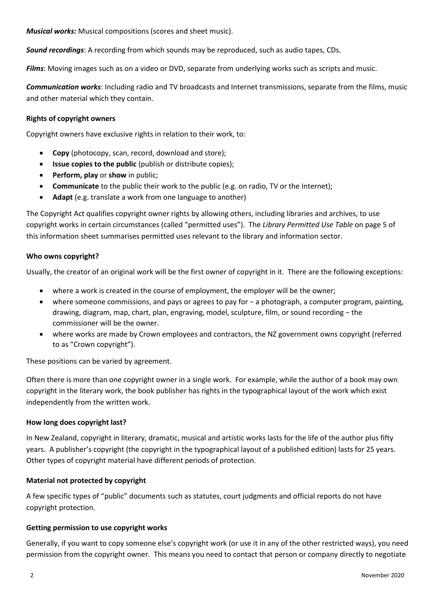*Musical works:* Musical compositions (scores and sheet music).

*Sound recordings*: A recording from which sounds may be reproduced, such as audio tapes, CDs.

*Films*: Moving images such as on a video or DVD, separate from underlying works such as scripts and music.

*Communication works*: Including radio and TV broadcasts and Internet transmissions, separate from the films, music and other material which they contain.

### **Rights of copyright owners**

Copyright owners have exclusive rights in relation to their work, to:

- **Copy** (photocopy, scan, record, download and store);
- **Issue copies to the public** (publish or distribute copies);
- **Perform, play** or **show** in public;
- **Communicate** to the public their work to the public (e.g. on radio, TV or the Internet);
- **Adapt** (e.g. translate a work from one language to another)

The Copyright Act qualifies copyright owner rights by allowing others, including libraries and archives, to use copyright works in certain circumstances (called "permitted uses"). The *Library Permitted Use Table* on page 5 of this information sheet summarises permitted uses relevant to the library and information sector.

#### **Who owns copyright?**

Usually, the creator of an original work will be the first owner of copyright in it. There are the following exceptions:

- where a work is created in the course of employment, the employer will be the owner;
- where someone commissions, and pays or agrees to pay for − a photograph, a computer program, painting, drawing, diagram, map, chart, plan, engraving, model, sculpture, film, or sound recording − the commissioner will be the owner.
- where works are made by Crown employees and contractors, the NZ government owns copyright (referred to as "Crown copyright").

These positions can be varied by agreement.

Often there is more than one copyright owner in a single work. For example, while the author of a book may own copyright in the literary work, the book publisher has rights in the typographical layout of the work which exist independently from the written work.

#### **How long does copyright last?**

In New Zealand, copyright in literary, dramatic, musical and artistic works lasts for the life of the author plus fifty years. A publisher's copyright (the copyright in the typographical layout of a published edition) lasts for 25 years. Other types of copyright material have different periods of protection.

#### **Material not protected by copyright**

A few specific types of "public" documents such as statutes, court judgments and official reports do not have copyright protection.

#### **Getting permission to use copyright works**

Generally, if you want to copy someone else's copyright work (or use it in any of the other restricted ways), you need permission from the copyright owner. This means you need to contact that person or company directly to negotiate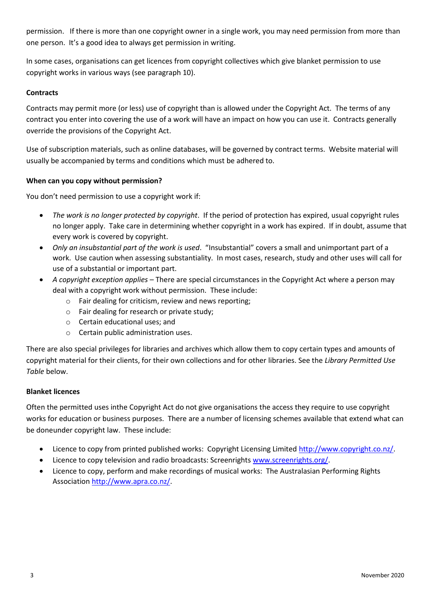permission. If there is more than one copyright owner in a single work, you may need permission from more than one person. It's a good idea to always get permission in writing.

In some cases, organisations can get licences from copyright collectives which give blanket permission to use copyright works in various ways (see paragraph 10).

# **Contracts**

Contracts may permit more (or less) use of copyright than is allowed under the Copyright Act. The terms of any contract you enter into covering the use of a work will have an impact on how you can use it. Contracts generally override the provisions of the Copyright Act.

Use of subscription materials, such as online databases, will be governed by contract terms. Website material will usually be accompanied by terms and conditions which must be adhered to.

# **When can you copy without permission?**

You don't need permission to use a copyright work if:

- *The work is no longer protected by copyright*. If the period of protection has expired, usual copyright rules no longer apply. Take care in determining whether copyright in a work has expired. If in doubt, assume that every work is covered by copyright.
- *Only an insubstantial part of the work is used*. "Insubstantial" covers a small and unimportant part of a work. Use caution when assessing substantiality. In most cases, research, study and other uses will call for use of a substantial or important part.
- *A copyright exception applies* There are special circumstances in the Copyright Act where a person may deal with a copyright work without permission. These include:
	- o Fair dealing for criticism, review and news reporting;
	- o Fair dealing for research or private study;
	- o Certain educational uses; and
	- o Certain public administration uses.

There are also special privileges for libraries and archives which allow them to copy certain types and amounts of copyright material for their clients, for their own collections and for other libraries. See the *Library Permitted Use Table* below.

# **Blanket licences**

Often the permitted uses inthe Copyright Act do not give organisations the access they require to use copyright works for education or business purposes. There are a number of licensing schemes available that extend what can be doneunder copyright law. These include:

- Licence to copy from printed published works: Copyright Licensing Limited [http://www.copyright.co.nz/.](http://www.copyright.co.nz/)
- Licence to copy television and radio broadcasts: Screenrights [www.screenrights.org/.](http://www.screenrights.org/)
- Licence to copy, perform and make recordings of musical works: The Australasian Performing Rights Associatio[n http://www.apra.co.nz/.](http://www.apra.co.nz/)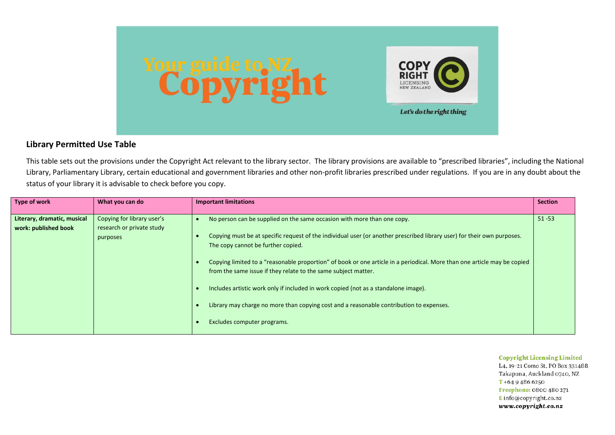

# **Library Permitted Use Table**

This table sets out the provisions under the Copyright Act relevant to the library sector. The library provisions are available to "prescribed libraries", including the National Library, Parliamentary Library, certain educational and government libraries and other non-profit libraries prescribed under regulations. If you are in any doubt about the status of your library it is advisable to check before you copy.

| Type of work                                        | What you can do                                                     | <b>Important limitations</b>                                                                                                                                                                                                                                                                                                                                                                                                                                                                                                                                                                                                                            | <b>Section</b> |
|-----------------------------------------------------|---------------------------------------------------------------------|---------------------------------------------------------------------------------------------------------------------------------------------------------------------------------------------------------------------------------------------------------------------------------------------------------------------------------------------------------------------------------------------------------------------------------------------------------------------------------------------------------------------------------------------------------------------------------------------------------------------------------------------------------|----------------|
| Literary, dramatic, musical<br>work: published book | Copying for library user's<br>research or private study<br>purposes | No person can be supplied on the same occasion with more than one copy.<br>Copying must be at specific request of the individual user (or another prescribed library user) for their own purposes.<br>The copy cannot be further copied.<br>Copying limited to a "reasonable proportion" of book or one article in a periodical. More than one article may be copied<br>from the same issue if they relate to the same subject matter.<br>Includes artistic work only if included in work copied (not as a standalone image).<br>Library may charge no more than copying cost and a reasonable contribution to expenses.<br>Excludes computer programs. | $51 - 53$      |

#### **Copyright Licensing Limited**

L4, 19-21 Como St, PO Box 331488. Takapuna, Auckland 0740, NZ  $T + 6494866250$ Freephone: 0800 480 271 E info@copyright.co.nz www.copyright.co.nz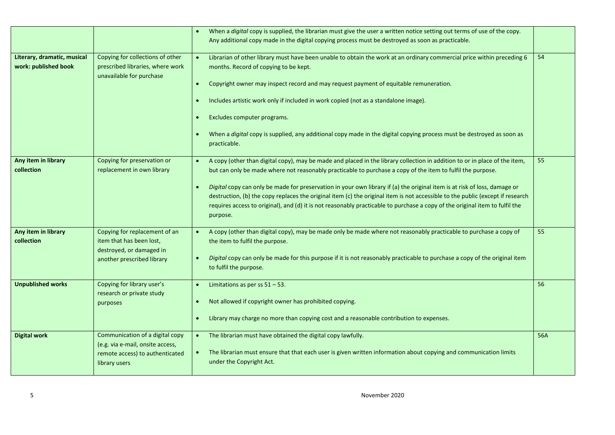|                                                     |                                                                                                                         | When a digital copy is supplied, the librarian must give the user a written notice setting out terms of use of the copy.<br>$\bullet$<br>Any additional copy made in the digital copying process must be destroyed as soon as practicable.                                                                                                                                                                                                                                                                                                                                                                                                                        |     |
|-----------------------------------------------------|-------------------------------------------------------------------------------------------------------------------------|-------------------------------------------------------------------------------------------------------------------------------------------------------------------------------------------------------------------------------------------------------------------------------------------------------------------------------------------------------------------------------------------------------------------------------------------------------------------------------------------------------------------------------------------------------------------------------------------------------------------------------------------------------------------|-----|
| Literary, dramatic, musical<br>work: published book | Copying for collections of other<br>prescribed libraries, where work<br>unavailable for purchase                        | Librarian of other library must have been unable to obtain the work at an ordinary commercial price within preceding 6<br>months. Record of copying to be kept.<br>Copyright owner may inspect record and may request payment of equitable remuneration.<br>$\bullet$<br>Includes artistic work only if included in work copied (not as a standalone image).<br>Excludes computer programs.<br>$\bullet$<br>When a <i>digital</i> copy is supplied, any additional copy made in the digital copying process must be destroyed as soon as<br>$\bullet$<br>practicable.                                                                                             | 54  |
| Any item in library<br>collection                   | Copying for preservation or<br>replacement in own library                                                               | A copy (other than digital copy), may be made and placed in the library collection in addition to or in place of the item,<br>but can only be made where not reasonably practicable to purchase a copy of the item to fulfil the purpose.<br>Digital copy can only be made for preservation in your own library if (a) the original item is at risk of loss, damage or<br>$\bullet$<br>destruction, (b) the copy replaces the original item (c) the original item is not accessible to the public (except if research<br>requires access to original), and (d) it is not reasonably practicable to purchase a copy of the original item to fulfil the<br>purpose. | 55  |
| Any item in library<br>collection                   | Copying for replacement of an<br>item that has been lost,<br>destroyed, or damaged in<br>another prescribed library     | A copy (other than digital copy), may be made only be made where not reasonably practicable to purchase a copy of<br>the item to fulfil the purpose.<br>Digital copy can only be made for this purpose if it is not reasonably practicable to purchase a copy of the original item<br>to fulfil the purpose.                                                                                                                                                                                                                                                                                                                                                      | 55  |
| <b>Unpublished works</b>                            | Copying for library user's<br>research or private study<br>purposes                                                     | Limitations as per ss $51 - 53$ .<br>$\bullet$<br>Not allowed if copyright owner has prohibited copying.<br>$\bullet$<br>Library may charge no more than copying cost and a reasonable contribution to expenses.<br>$\bullet$                                                                                                                                                                                                                                                                                                                                                                                                                                     | 56  |
| <b>Digital work</b>                                 | Communication of a digital copy<br>(e.g. via e-mail, onsite access,<br>remote access) to authenticated<br>library users | • The librarian must have obtained the digital copy lawfully.<br>The librarian must ensure that that each user is given written information about copying and communication limits<br>under the Copyright Act.                                                                                                                                                                                                                                                                                                                                                                                                                                                    | 56A |